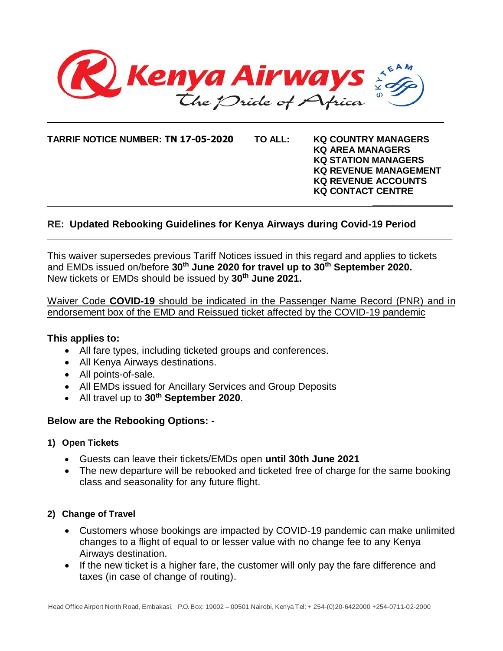

**TARRIF NOTICE NUMBER: TN 17-05-2020 TO ALL: KQ COUNTRY MANAGERS KQ AREA MANAGERS KQ STATION MANAGERS KQ REVENUE MANAGEMENT KQ REVENUE ACCOUNTS KQ CONTACT CENTRE \_\_\_\_\_\_\_\_\_\_\_\_\_\_\_\_**

# **RE: Updated Rebooking Guidelines for Kenya Airways during Covid-19 Period**

This waiver supersedes previous Tariff Notices issued in this regard and applies to tickets and EMDs issued on/before **30th June 2020 for travel up to 30 th September 2020.** New tickets or EMDs should be issued by **30th June 2021.**

**\_\_\_\_\_\_\_\_\_\_\_\_\_\_\_\_\_\_\_\_\_\_\_\_\_\_\_\_\_\_\_\_\_\_\_\_\_\_\_\_\_\_\_\_\_\_\_\_\_\_\_\_\_\_\_\_\_\_\_\_\_\_\_\_\_\_\_\_\_\_\_\_\_\_**

Waiver Code **COVID-19** should be indicated in the Passenger Name Record (PNR) and in endorsement box of the EMD and Reissued ticket affected by the COVID-19 pandemic

## **This applies to:**

- All fare types, including ticketed groups and conferences.
- All Kenya Airways destinations.
- All points-of-sale.
- All EMDs issued for Ancillary Services and Group Deposits
- All travel up to **30 th September 2020**.

## **Below are the Rebooking Options: -**

## **1) Open Tickets**

- Guests can leave their tickets/EMDs open **until 30th June 2021**
- The new departure will be rebooked and ticketed free of charge for the same booking class and seasonality for any future flight.

## **2) Change of Travel**

- Customers whose bookings are impacted by COVID-19 pandemic can make unlimited changes to a flight of equal to or lesser value with no change fee to any Kenya Airways destination.
- If the new ticket is a higher fare, the customer will only pay the fare difference and taxes (in case of change of routing).